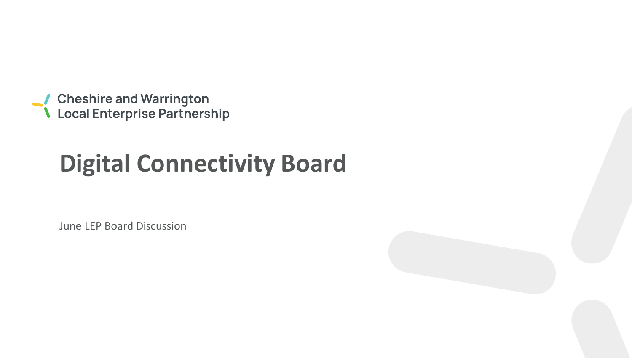● Cheshire and Warrington<br>● Local Enterprise Partnership

# **Digital Connectivity Board**

June LEP Board Discussion

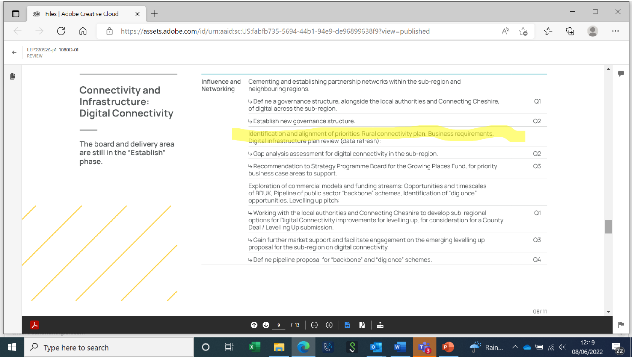| $\mathbb{D}$ | Files   Adobe Creative Cloud<br>$^{+}$<br>$\times$<br>$\circledcirc$ |                                                                                                                        |                                                                                                                                              |                                                                                                                                                                                                                           |    |                |    |     | $\times$ |
|--------------|----------------------------------------------------------------------|------------------------------------------------------------------------------------------------------------------------|----------------------------------------------------------------------------------------------------------------------------------------------|---------------------------------------------------------------------------------------------------------------------------------------------------------------------------------------------------------------------------|----|----------------|----|-----|----------|
|              |                                                                      | $\forall_{y}$<br>https://assets.adobe.com/id/urn:aaid:sc:US:fabfb735-5694-44b1-94e9-de96899638f9?view=published<br>لما |                                                                                                                                              |                                                                                                                                                                                                                           |    |                | √≅ | (中) |          |
|              | LEP220526-p1_1080D-01                                                |                                                                                                                        |                                                                                                                                              |                                                                                                                                                                                                                           |    |                |    |     |          |
| Ŀ            |                                                                      | <b>Connectivity and</b>                                                                                                | Influence and<br>Networking                                                                                                                  | Cementing and establishing partnership networks within the sub-region and<br>neighbouring regions.                                                                                                                        |    |                |    |     |          |
|              |                                                                      | Infrastructure:<br><b>Digital Connectivity</b>                                                                         |                                                                                                                                              | +> Define a governance structure, alongside the local authorities and Connecting Cheshire,<br>of digital across the sub-region.                                                                                           |    |                | Q1 |     |          |
|              |                                                                      |                                                                                                                        |                                                                                                                                              | → Establish new governance structure.                                                                                                                                                                                     |    |                | Q2 |     |          |
|              |                                                                      | The board and delivery area                                                                                            |                                                                                                                                              | Identification and alignment of priorities: Rural connectivity plan, Business requirements,<br>Digital infrastructure plan review (data refresh):                                                                         |    |                |    |     |          |
|              |                                                                      | are still in the "Establish"<br>phase.                                                                                 |                                                                                                                                              | → Gap analysis assessment for digital connectivity in the sub-region.                                                                                                                                                     |    |                | Q2 |     |          |
|              |                                                                      |                                                                                                                        |                                                                                                                                              | +> Recommendation to Strategy Programme Board for the Growing Places Fund, for priority<br>business case areas to support.                                                                                                |    | Q <sub>3</sub> |    |     |          |
|              |                                                                      |                                                                                                                        |                                                                                                                                              | Exploration of commercial models and funding streams: Opportunities and timescales<br>of BDUK, Pipeline of public sector "backbone" schemes, Identification of "dig once"<br>opportunities, Levelling up pitch:           |    |                |    |     |          |
|              |                                                                      |                                                                                                                        |                                                                                                                                              | 4 Working with the local authorities and Connecting Cheshire to develop sub-regional<br>options for Digital Connectivity improvements for levelling up, for consideration for a County<br>Deal / Levelling Up submission. |    | Q1             |    |     |          |
|              |                                                                      |                                                                                                                        | 4 Gain further market support and facilitate engagement on the emerging levelling up<br>proposal for the sub-region on digital connectivity. |                                                                                                                                                                                                                           | Q3 |                |    |     |          |
|              |                                                                      |                                                                                                                        | → Define pipeline proposal for "backbone" and "dig once" schemes.                                                                            |                                                                                                                                                                                                                           |    | Q4             |    |     |          |
|              |                                                                      |                                                                                                                        |                                                                                                                                              |                                                                                                                                                                                                                           |    |                |    |     |          |

**● ● \_** / B | ⊖ ⊕ | <del>B</del> B | <del>L</del>

 $\bullet$ 

 $\mathbb{G}$ 

 $\mathbf{x}$ 

**M** 

 $\circ$ 

 $\Xi$ 

8

 $\frac{1}{2}$ 

 $\bullet$ 

暗日

 $\mathbf{A}^{(i)}$  Rain...  $\wedge$   $\bullet$   $\mathbf{B}$  (c, d)

 $\bar{\star}$ 

12:19<br>08/06/2022

 $\mathbb{P}$ 

 $\overline{\mathbb{Z}}_2$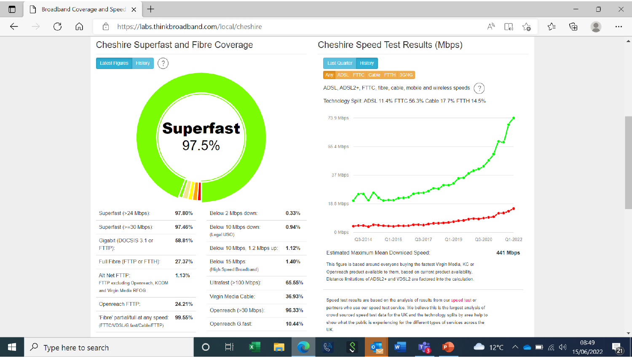⋒

#### https://labs.thinkbroadband.com/local/cheshire ਿ



|                                                                     |                                                    |                        | $0.33\%$                                                                                                                      |  |
|---------------------------------------------------------------------|----------------------------------------------------|------------------------|-------------------------------------------------------------------------------------------------------------------------------|--|
| Superfast (>=30 Mbps):                                              | 97.46%                                             | Below 10 Mbps down:    | 0.94%                                                                                                                         |  |
| Gigabit (DOCSIS 3.1 or                                              | 58.81%                                             |                        |                                                                                                                               |  |
|                                                                     |                                                    |                        | 1.12%                                                                                                                         |  |
| Full Fibre (FTTP or FTTH):                                          | 27.37%                                             | Below 15 Mbps:         | 1.40%                                                                                                                         |  |
| Alt Net FTTP:                                                       | 1.13%                                              |                        |                                                                                                                               |  |
| FTTP excluding Openreach, KCOM                                      |                                                    | Ultrafast (>100 Mbps): | 65.55%                                                                                                                        |  |
|                                                                     |                                                    | Virgin Media Cable:    | 36.93%                                                                                                                        |  |
|                                                                     |                                                    | Openreach (>30 Mbps):  | 96.33%                                                                                                                        |  |
| 'Fibre' partial/full at any speed:<br>(FTTC/VDSL/G.fast/Cable/FTTP) | 99.55%                                             | Openreach G.fast:      | 10.44%                                                                                                                        |  |
|                                                                     | FTTP):<br>and Virgin Media RFOG<br>Openreach FTTP: | 24.21%                 | Superfast (>24 Mbps):<br>97.80%<br>Below 2 Mbps down:<br>(Legal USO)<br>Below 10 Mbps, 1.2 Mbps up:<br>(High Speed Broadband) |  |

闫i

 $\circ$ 



08:49

15/06/2022

物

 $\bullet$  12°C  $\land \bullet \blacksquare$  (5.4)

H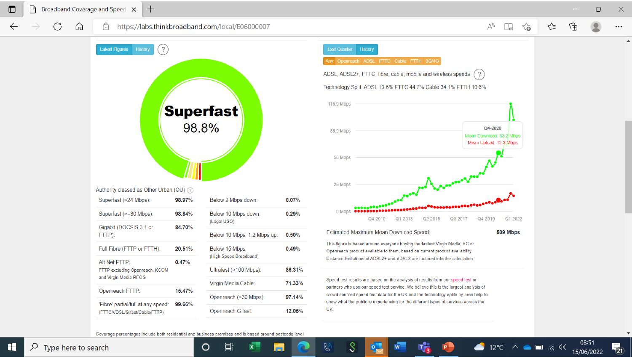ਿ

⋒

C

 $\Delta$ 

#### $\gamma$ ্দি Ψy  $\Box$ ร⁄ิ≡ ...



Authority classed as Other Urban (OU) (?)

| Superfast (>24 Mbps):                                               | 98.97% | Below 2 Mbps down:                 | $0.07\%$ |  |
|---------------------------------------------------------------------|--------|------------------------------------|----------|--|
| Superfast (>=30 Mbps):                                              | 98.84% | Below 10 Mbps down:<br>(Legal USO) | 0.29%    |  |
| Gigabit (DOCSIS 3.1 or                                              | 84.70% |                                    |          |  |
| FTTP):                                                              |        | Below 10 Mbps, 1.2 Mbps up:        | 0.50%    |  |
| Full Fibre (FTTP or FTTH):                                          | 20.51% | Below 15 Mbps:                     |          |  |
| Alt Net FTTP:                                                       | 0.47%  | (High Speed Broadband)             |          |  |
| FTTP excluding Openreach, KCOM                                      |        | Ultrafast (>100 Mbps):             | 86.31%   |  |
| and Virgin Media RFOG                                               |        | Virgin Media Cable:                | 71.33%   |  |
| Openreach FTTP:                                                     | 15.47% |                                    |          |  |
|                                                                     | 99.66% | Openreach (>30 Mbps):              | 97.14%   |  |
| 'Fibre' partial/full at any speed:<br>(FTTC/VDSL/G.fast/Cable/FTTP) |        | Openreach G.fast:                  | 12.05%   |  |
|                                                                     |        |                                    |          |  |



Estimated Maximum Mean Download Speed:

 $|0|$ 

 $\mathbb{G}$ 

509 Mbps

 $\bullet$  12°C  $\land \bullet$   $\blacksquare$   $\qquad \qquad \emptyset$ 

This figure is based around everyone buying the fastest Virgin Media, KC or Openreach product available to them, based on current product availability. Distance limitations of ADSL2+ and VDSL2 are factored into the calculation.

Speed test results are based on the analysis of results from our speed test or partners who use our speed test service. We believe this is the largest analysis of crowd sourced speed test data for the UK and the technology splits by area help to show what the public is experiencing for the different types of services across the UK.

Coverage percentages include both residential and business premises and is based around postcode level

 $\circ$ 

Ξi

 $\varphi$  Type here to search

08:51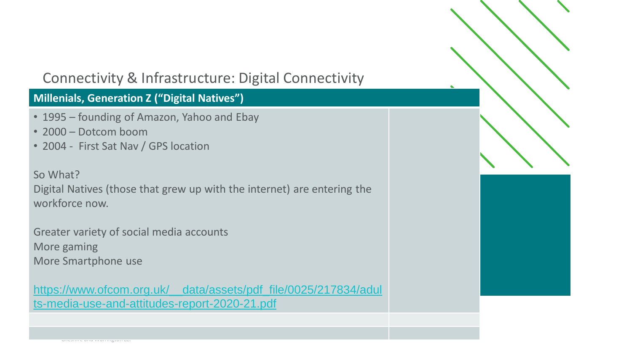### **Millenials, Generation Z ("Digital Natives")**

- 1995 founding of Amazon, Yahoo and Ebay
- 2000 Dotcom boom

Cheshire and Warrington LEP

• 2004 - First Sat Nav / GPS location

#### So What?

Digital Natives (those that grew up with the internet) are entering the workforce now.

Greater variety of social media accounts More gaming More Smartphone use

[https://www.ofcom.org.uk/\\_\\_data/assets/pdf\\_file/0025/217834/adul](https://www.ofcom.org.uk/__data/assets/pdf_file/0025/217834/adults-media-use-and-attitudes-report-2020-21.pdf) ts-media-use-and-attitudes-report-2020-21.pdf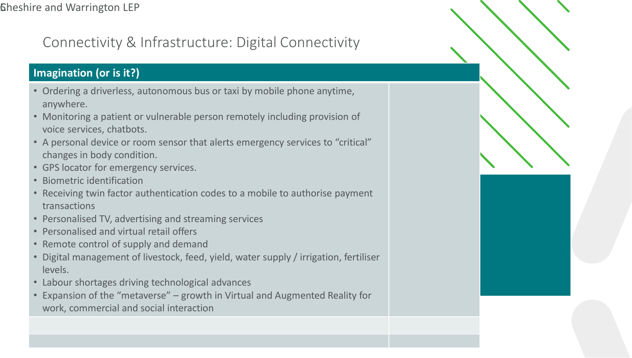### **Imagination (or is it?)**

- Ordering a driverless, autonomous bus or taxi by mobile phone anytime, anywhere.
- Monitoring a patient or vulnerable person remotely including provision of voice services, chatbots.
- A personal device or room sensor that alerts emergency services to "critical" changes in body condition.
- GPS locator for emergency services.
- Biometric identification
- Receiving twin factor authentication codes to a mobile to authorise payment transactions
- Personalised TV, advertising and streaming services
- Personalised and virtual retail offers
- Remote control of supply and demand
- Digital management of livestock, feed, yield, water supply / irrigation, fertiliser levels.
- Labour shortages driving technological advances
- Expansion of the "metaverse" growth in Virtual and Augmented Reality for work, commercial and social interaction

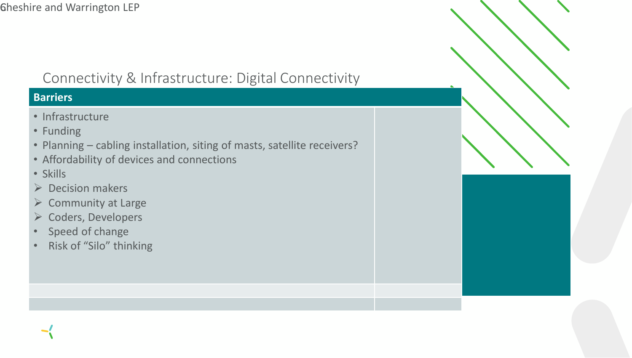#### **Barriers**

- Infrastructure
- Funding
- Planning cabling installation, siting of masts, satellite receivers?
- Affordability of devices and connections
- Skills
- ➢ Decision makers
- $\triangleright$  Community at Large
- ➢ Coders, Developers
- Speed of change
- Risk of "Silo" thinking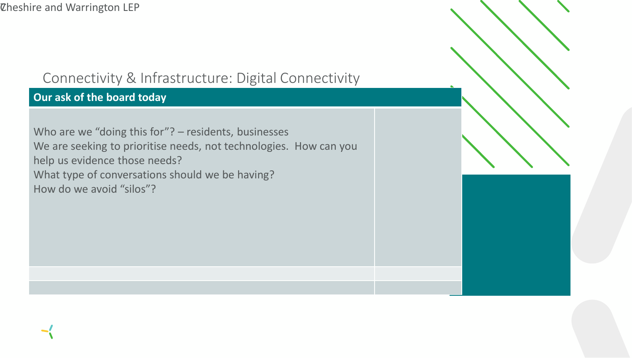### **Our ask of the board today**

Who are we "doing this for"? – residents, businesses We are seeking to prioritise needs, not technologies. How can you help us evidence those needs? What type of conversations should we be having? How do we avoid "silos"?